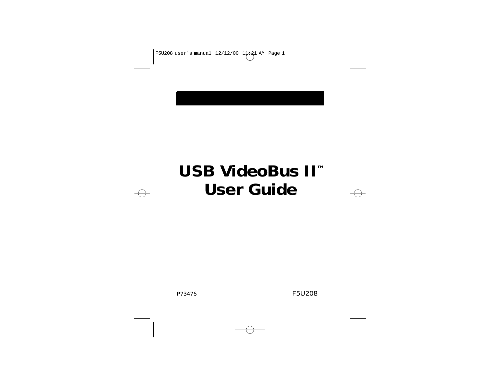# **USB VideoBus II™ User Guide**

P73476 F5U208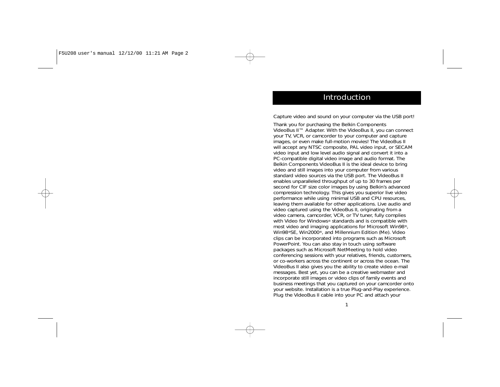#### Introduction

Capture video and sound on your computer via the USB port!

Thank you for purchasing the Belkin Components VideoBus II™ Adapter. With the VideoBus II, you can connect your TV, VCR, or camcorder to your computer and capture images, or even make full-motion movies! The VideoBus II will accept any NTSC composite, PAL video input, or SECAM video input and low level audio signal and convert it into a PC-compatible digital video image and audio format. The Belkin Components VideoBus II is the ideal device to bring video and still images into your computer from various standard video sources via the USB port. The VideoBus II enables unparalleled throughput of up to 30 frames per second for CIF size color images by using Belkin's advanced compression technology. This gives you superior live video performance while using minimal USB and CPU resources, leaving them available for other applications. Live audio and video captured using the VideoBus II, originating from a video camera, camcorder, VCR, or TV tuner, fully complies with Video for Windows® standards and is compatible with most video and imaging applications for Microsoft Win98®, Win98®SE, Win2000®, and Millennium Edition (Me). Video clips can be incorporated into programs such as Microsoft PowerPoint. You can also stay in touch using software packages such as Microsoft NetMeeting to hold video conferencing sessions with your relatives, friends, customers, or co-workers across the continent or across the ocean. The VideoBus II also gives you the ability to create video e-mail messages. Best yet, you can be a creative webmaster and incorporate still images or video clips of family events and business meetings that you captured on your camcorder onto your website. Installation is a true Plug-and-Play experience. Plug the VideoBus II cable into your PC and attach your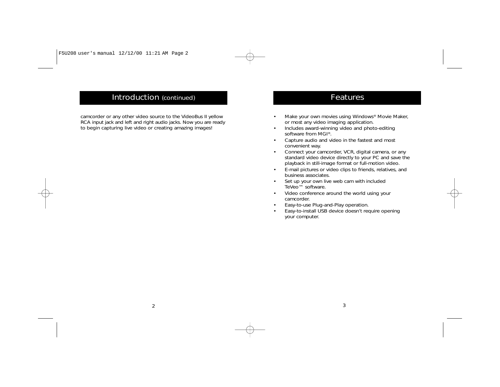### Introduction (continued)

camcorder or any other video source to the VideoBus II yellow RCA input jack and left and right audio jacks. Now you are ready to begin capturing live video or creating amazing images!

#### **Features**

- Make your own movies using Windows® Movie Maker, or most any video imaging application.
- • Includes award-winning video and photo-editing software from MGI®.
- Capture audio and video in the fastest and most convenient way.
- • Connect your camcorder, VCR, digital camera, or any standard video device directly to your PC and save the playback in still-image format or full-motion video.
- E-mail pictures or video clips to friends, relatives, and business associates.
- Set up your own live web cam with included TeVeo™ software.
- Video conference around the world using your camcorder.
- Easy-to-use Plug-and-Play operation.
- • Easy-to-install USB device doesn't require opening your computer.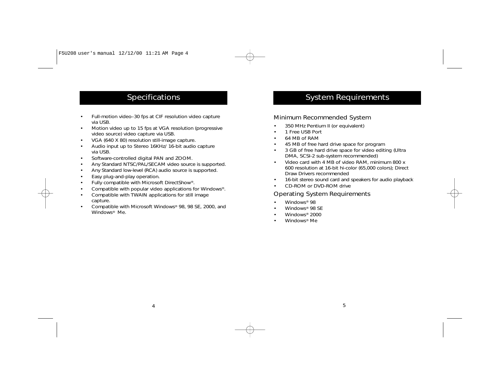### **Specifications**

- • Full-motion video–30 fps at CIF resolution video capture via USB.
- • Motion video up to 15 fps at VGA resolution (progressive video source) video capture via USB.
- •VGA (640 X 80) resolution still-image capture.
- • Audio input up to Stereo 16KHz/ 16-bit audio capture via USB.
- •Software-controlled digital PAN and ZOOM.
- •Any Standard NTSC/PAL/SECAM video source is supported.
- •Any Standard low-level (RCA) audio source is supported.
- •Easy plug-and-play operation.
- •Fully compatible with Microsoft DirectShow®.
- •Compatible with popular video applications for Windows®.
- • Compatible with TWAIN applications for still image capture.
- • Compatible with Microsoft Windows® 98, 98 SE, 2000, and Windows® Me.

### System Requirements

#### Minimum Recommended System

- •350 MHz Pentium II (or equivalent)
- •1 Free USB Port
- •64 MB of RAM
- •45 MB of free hard drive space for program
- • 3 GB of free hard drive space for video editing (Ultra DMA, SCSI-2 sub-system recommended)
- • Video card with 4 MB of video RAM, minimum 800 x 600 resolution at 16-bit hi-color (65,000 colors); Direct Draw Drivers recommended
- •16-bit stereo sound card and speakers for audio playback
- •CD-ROM or DVD-ROM drive

#### Operating System Requirements

- Windows® 98
- Windows® 98 SE
- Windows® 2000
- Windows® Me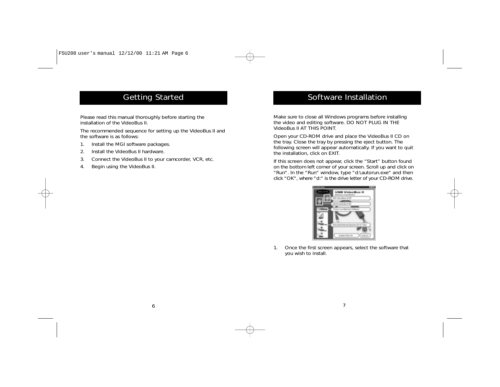## Getting Started

Please read this manual thoroughly before starting the installation of the VideoBus II.

The recommended sequence for setting up the VideoBus II and the software is as follows:

- 1. Install the MGI software packages.
- 2. Install the VideoBus II hardware.
- 3. Connect the VideoBus II to your camcorder, VCR, etc.
- 4. Begin using the VideoBus II.

### Software Installation

Make sure to close all Windows programs before installing the video and editing software. DO NOT PLUG IN THE VideoBus II AT THIS POINT.

Open your CD-ROM drive and place the VideoBus II CD on the tray. Close the tray by pressing the eject button. The following screen will appear automatically. If you want to quit the installation, click on EXIT.

If this screen does not appear, click the "Start" button found on the bottom left corner of your screen. Scroll up and click on "Run". In the "Run" window, type "d:\autorun.exe" and then click "OK", where "d:" is the drive letter of your CD-ROM drive.



1. Once the first screen appears, select the software that you wish to install.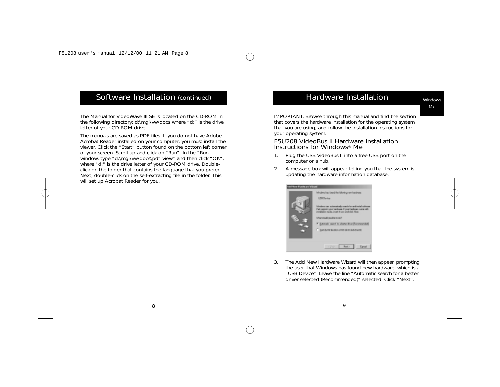#### Software Installation (continued)

The Manual for VideoWave III SE is located on the CD-ROM in the following directory: d:\mgi\vw\docs where "d:" is the drive letter of your CD-ROM drive.

The manuals are saved as PDF files. If you do not have Adobe Acrobat Reader installed on your computer, you must install the viewer. Click the "Start" button found on the bottom left corner of your screen. Scroll up and click on "Run". In the "Run" window, type "d:\mgi\vw\docs\pdf\_view" and then click "OK", where "d:" is the drive letter of your CD-ROM drive. Doubleclick on the folder that contains the language that you prefer. Next, double-click on the self-extracting file in the folder. This will set up Acrobat Reader for you.

### Hardware Installation

IMPORTANT: Browse through this manual and find the section that covers the hardware installation for the operating system that you are using, and follow the installation instructions for your operating system.

#### F5U208 VideoBus II Hardware Installation Instructions for Windows® Me

- 1. Plug the USB VideoBus II into a free USB port on the computer or a hub.
- 2. A message box will appear telling you that the system is updating the hardware information database.

| to New Hundware Wizund |                                                                                                                                                                                                                                                                                                                                                        |
|------------------------|--------------------------------------------------------------------------------------------------------------------------------------------------------------------------------------------------------------------------------------------------------------------------------------------------------------------------------------------------------|
|                        | Wedow has load the following new hardware.<br><b>LTS Device</b><br>Weden can asteroidads cands for and ruled colour<br>Pat nasednyea hadisas (freschaduas nasedil).<br>initiation neds inset it sow and did. Next<br>Vihat modé una Baria de T<br>If automatic rearch by a batter direct Placemenanda<br>C. Quests the business the street (laborated) |
|                        | a Election<br><b>Noah</b> 1                                                                                                                                                                                                                                                                                                                            |

3. The Add New Hardware Wizard will then appear, prompting the user that Windows has found new hardware, which is a "USB Device". Leave the line "Automatic search for a better driver selected (Recommended)" selected. Click "Next".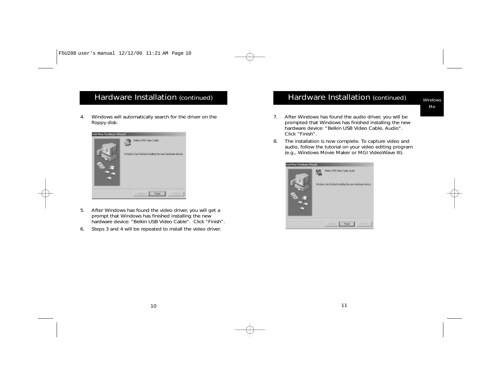4. Windows will automatically search for the driver on the floppy disk.



- 5. After Windows has found the video driver, you will get a prompt that Windows has finished installing the new hardware device: "Belkin USB Video Cable". Click "Finish".
- 6. Steps 3 and 4 will be repeated to install the video driver.

#### Hardware Installation (continued)

Windows Me

- 7. After Windows has found the audio driver, you will be prompted that Windows has finished installing the new hardware device: "Belkin USB Video Cable, Audio". Click "Finish".
- 8. The installation is now complete. To capture video and audio, follow the tutorial on your video editing program (e.g., Windows Movie Maker or MGI VideoWave III).

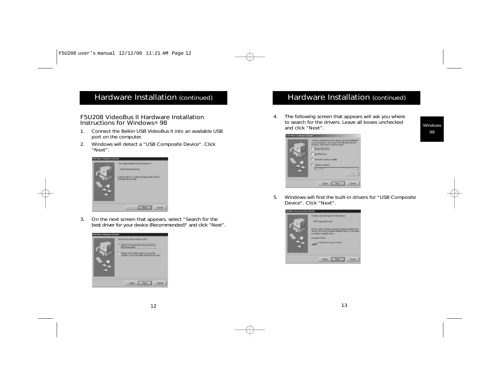### Hardware Installation (continued) Hardware Installation (continued)

#### F5U208 VideoBus II Hardware Installation Instructions for Windows® 98

- 1. Connect the Belkin USB VideoBus II into an available USB port on the computer.
- 2. Windows will detect a "USB Composite Device". Click "Next".



3. On the next screen that appears, select "Search for the best driver for your device (Recommended)" and click "Next".



4. The following screen that appears will ask you where to search for the drivers. Leave all boxes unchecked and click "Next".



5. Windows will find the built-in drivers for "USB Composite Device". Click "Next".

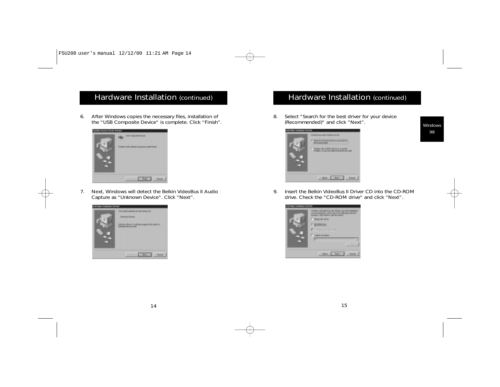6. After Windows copies the necessary files, installation of the "USB Composite Device" is complete. Click "Finish".



7. Next, Windows will detect the Belkin VideoBus II Audio Capture as "Unknown Device". Click "Next".



### Hardware Installation (continued)

8. Select "Search for the best driver for your device (Recommended)" and click "Next".



9. Insert the Belkin VideoBus II Driver CD into the CD-ROM drive. Check the "CD-ROM drive" and click "Next".



Windows 98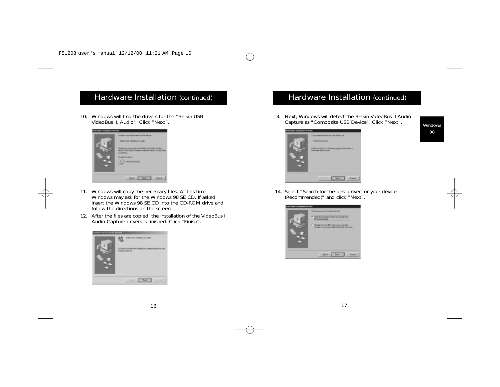10. Windows will find the drivers for the "Belkin USB VideoBus II, Audio". Click "Next".



- 11. Windows will copy the necessary files. At this time, Windows may ask for the Windows 98 SE CD. If asked, insert the Windows 98 SE CD into the CD-ROM drive and follow the directions on the screen.
- 12. After the files are copied, the installation of the VideoBus II Audio Capture drivers is finished. Click "Finish".



### Hardware Installation (continued)

13. Next, Windows will detect the Belkin VideoBus II Audio Capture as "Composite USB Device". Click "Next".



14. Select "Search for the best driver for your device (Recommended)" and click "Next".



Windows 98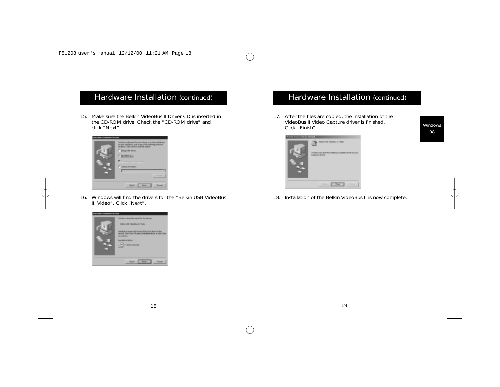15. Make sure the Belkin VideoBus II Driver CD is inserted in the CD-ROM drive. Check the "CD-ROM drive" and click "Next".



16. Windows will find the drivers for the "Belkin USB VideoBus II, Video". Click "Next".



### Hardware Installation (continued)

17. After the files are copied, the installation of the VideoBus II Video Capture driver is finished. Click "Finish".



18. Installation of the Belkin VideoBus II is now complete.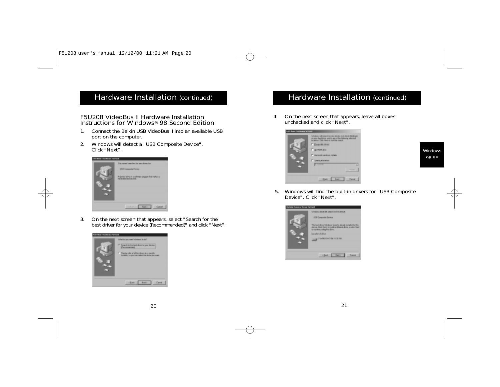#### F5U208 VideoBus II Hardware Installation Instructions for Windows® 98 Second Edition

- 1. Connect the Belkin USB VideoBus II into an available USB port on the computer.
- 2. Windows will detect a "USB Composite Device". Click "Next".



3. On the next screen that appears, select "Search for the best driver for your device (Recommended)" and click "Next".



### Hardware Installation (continued)

4. On the next screen that appears, leave all boxes unchecked and click "Next".



5. Windows will find the built-in drivers for "USB Composite Device". Click "Next".

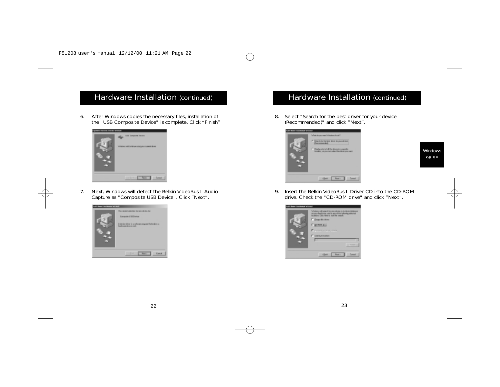6. After Windows copies the necessary files, installation of the "USB Composite Device" is complete. Click "Finish".



7. Next, Windows will detect the Belkin VideoBus II Audio Capture as "Composite USB Device". Click "Next".



### Hardware Installation (continued)

8. Select "Search for the best driver for your device (Recommended)" and click "Next".



Windows 98 SE

9. Insert the Belkin VideoBus II Driver CD into the CD-ROM drive. Check the "CD-ROM drive" and click "Next".

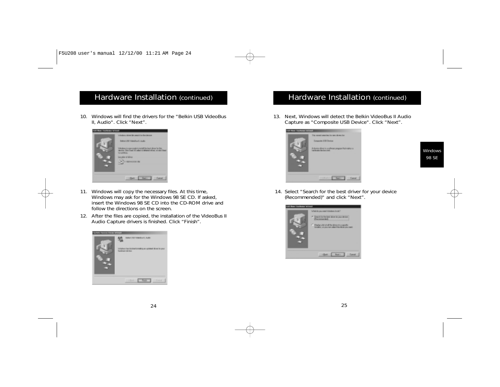10. Windows will find the drivers for the "Belkin USB VideoBus II, Audio". Click "Next".



- 11. Windows will copy the necessary files. At this time, Windows may ask for the Windows 98 SE CD. If asked, insert the Windows 98 SE CD into the CD-ROM drive and follow the directions on the screen.
- 12. After the files are copied, the installation of the VideoBus II Audio Capture drivers is finished. Click "Finish".



#### Hardware Installation (continued)

13. Next, Windows will detect the Belkin VideoBus II Audio Capture as "Composite USB Device". Click "Next".



14. Select "Search for the best driver for your device (Recommended)" and click "Next".



**Windows** 98 SE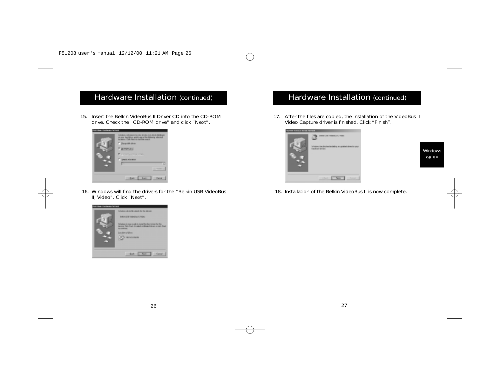15. Insert the Belkin VideoBus II Driver CD into the CD-ROM drive. Check the "CD-ROM drive" and click "Next".



16. Windows will find the drivers for the "Belkin USB VideoBus II, Video". Click "Next".



### Hardware Installation (continued)

17. After the files are copied, the installation of the VideoBus II Video Capture driver is finished. Click "Finish".



Windows 98 SE

18. Installation of the Belkin VideoBus II is now complete.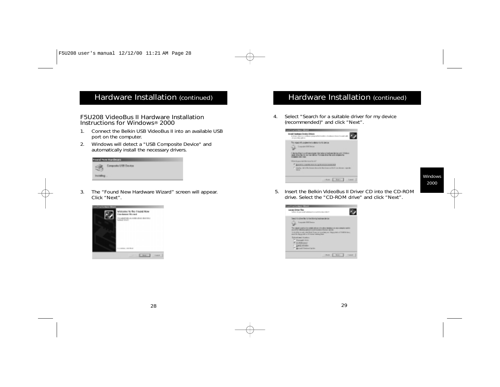#### F5U208 VideoBus II Hardware Installation Instructions for Windows® 2000

- 1. Connect the Belkin USB VideoBus II into an available USB port on the computer.
- 2. Windows will detect a "USB Composite Device" and automatically install the necessary drivers.

| Found Now Hardware |                      |  |
|--------------------|----------------------|--|
| 35                 | Composite USB Device |  |
| <b>Painting</b>    |                      |  |

3. The "Found New Hardware Wizard" screen will appear. Click "Next".



#### Hardware Installation (continued)

4. Select "Search for a suitable driver for my device (recommended)" and click "Next".

| <b>Service Control of March</b>                                                                                                                                                                                                                                                              |
|----------------------------------------------------------------------------------------------------------------------------------------------------------------------------------------------------------------------------------------------------------------------------------------------|
| In real Live Aware Excelse Entered<br>A chance shows a concellence program but continues<br>down forward and                                                                                                                                                                                 |
| This migrate discussions the increasing control denture<br><b>Counselment Person</b><br>A design thing it is collected anyone. The higher attendance design point follows:<br>reads after the the contract define. The stage of an file and company from<br><b><i>STARBOLD ROLL FIRE</i></b> |
| World approval the right for the<br>F AGAILAGEMENT AVAILABLE PARTIES<br>[1] Dayley (40) of the forecast the active for the accumulated from the contractor to<br>-                                                                                                                           |
| $1 -$<br>catally in the state                                                                                                                                                                                                                                                                |

Windows 2000

5. Insert the Belkin VideoBus II Driver CD into the CD-ROM drive. Select the "CD-ROM drive" and click "Next".

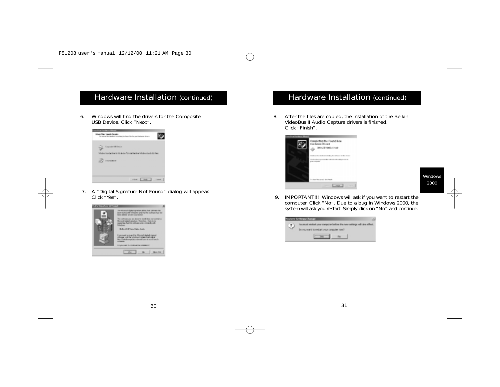6. Windows will find the drivers for the Composite USB Device. Click "Next".



7. A "Digital Signature Not Found" dialog will appear. Click "Yes".



### Hardware Installation (continued)

8. After the files are copied, the installation of the Belkin VideoBus II Audio Capture drivers is finished. Click "Finish".



Windows 2000

9. IMPORTANT!!! Windows will ask if you want to restart the computer. Click "No". Due to a bug in Windows 2000, the system will ask you restart. Simply click on "No" and continue.



30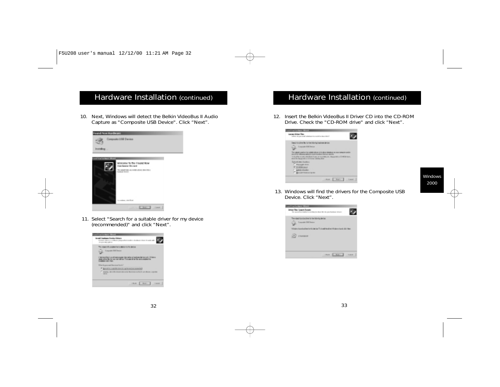10. Next, Windows will detect the Belkin VideoBus II Audio Capture as "Composite USB Device". Click "Next".



11. Select "Search for a suitable driver for my device (recommended)" and click "Next".



#### Hardware Installation (continued)

12. Insert the Belkin VideoBus II Driver CD into the CD-ROM Drive. Check the "CD-ROM drive" and click "Next".



Windows 2000

13. Windows will find the drivers for the Composite USB Device. Click "Next".

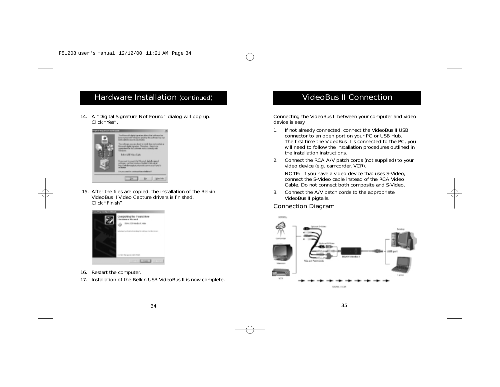14. A "Digital Signature Not Found" dialog will pop up. Click "Yes".



15. After the files are copied, the installation of the Belkin VideoBus II Video Capture drivers is finished. Click "Finish".



- 16. Restart the computer.
- 17. Installation of the Belkin USB VideoBus II is now complete.

### VideoBus II Connection

Connecting the VideoBus II between your computer and video device is easy.

- 1. If not already connected, connect the VideoBus II USB connector to an open port on your PC or USB Hub. The first time the VideoBus II is connected to the PC, you will need to follow the installation procedures outlined in the installation instructions.
- 2. Connect the RCA A/V patch cords (not supplied) to your video device (e.g. camcorder, VCR).

NOTE: If you have a video device that uses S-Video, connect the S-Video cable instead of the RCA Video Cable. Do not connect both composite and S-Video.

3. Connect the A/V patch cords to the appropriate VideoBus II pigtails.

#### Connection Diagram

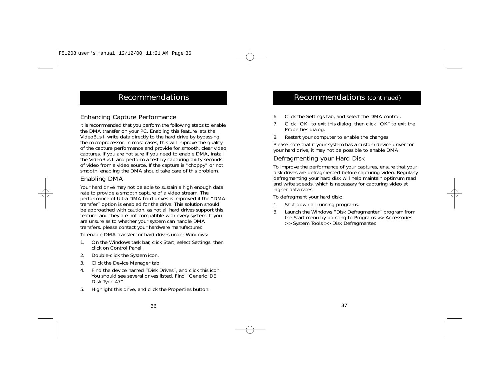### Recommendations

#### Enhancing Capture Performance

It is recommended that you perform the following steps to enable the DMA transfer on your PC. Enabling this feature lets the VideoBus II write data directly to the hard drive by bypassing the microprocessor. In most cases, this will improve the quality of the capture performance and provide for smooth, clear video captures. If you are not sure if you need to enable DMA, install the VideoBus II and perform a test by capturing thirty seconds of video from a video source. If the capture is "choppy" or not smooth, enabling the DMA should take care of this problem.

#### Enabling DMA

Your hard drive may not be able to sustain a high enough data rate to provide a smooth capture of a video stream. The performance of Ultra DMA hard drives is improved if the "DMA transfer" option is enabled for the drive. This solution should be approached with caution, as not all hard drives support this feature, and they are not compatible with every system. If you are unsure as to whether your system can handle DMA transfers, please contact your hardware manufacturer.

To enable DMA transfer for hard drives under Windows:

- 1. On the Windows task bar, click Start, select Settings, then click on Control Panel.
- 2. Double-click the System icon.
- 3. Click the Device Manager tab.
- 4. Find the device named "Disk Drives", and click this icon. You should see several drives listed. Find "Generic IDE Disk Type 47".
- 5. Highlight this drive, and click the Properties button.

#### Recommendations (continued)

- 6. Click the Settings tab, and select the DMA control.
- 7. Click "OK" to exit this dialog, then click "OK" to exit the Properties dialog.
- 8. Restart your computer to enable the changes.

Please note that if your system has a custom device driver for your hard drive, it may not be possible to enable DMA.

#### Defragmenting your Hard Disk

To improve the performance of your captures, ensure that your disk drives are defragmented before capturing video. Regularly defragmenting your hard disk will help maintain optimum read and write speeds, which is necessary for capturing video at higher data rates.

To defragment your hard disk:

- 1. Shut down all running programs.
- 3. Launch the Windows "Disk Defragmenter" program from the Start menu by pointing to Programs >> Accessories >> System Tools >> Disk Defragmenter.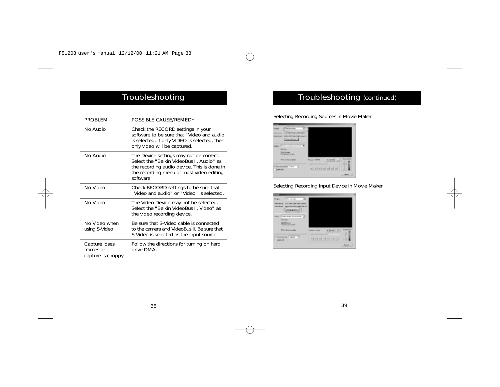### Troubleshooting

| <b>PROBLEM</b>                                  | POSSIBLE CAUSE/REMEDY                                                                                                                                                                        |
|-------------------------------------------------|----------------------------------------------------------------------------------------------------------------------------------------------------------------------------------------------|
| No Audio                                        | Check the RECORD settings in your<br>software to be sure that "Video and audio"<br>is selected. If only VIDEO is selected, then<br>only video will be captured.                              |
| No Audio                                        | The Device settings may not be correct.<br>Select the "Belkin VideoBus II, Audio" as<br>the recording audio device. This is done in<br>the recording menu of most video editing<br>software. |
| No Video                                        | Check RECORD settings to be sure that<br>"Video and audio" or "Video" is selected.                                                                                                           |
| No Video                                        | The Video Device may not be selected.<br>Select the "Belkin VideoBus II, Video" as<br>the video recording device.                                                                            |
| No Video when<br>using S-Video                  | Be sure that S-Video cable is connected<br>to the camera and VideoBus II. Be sure that<br>S-Video is selected as the input source.                                                           |
| Capture loses<br>frames or<br>capture is choppy | Follow the directions for turning on hard<br>drive DMA                                                                                                                                       |

### Troubleshooting (continued)

#### Selecting Recording Sources in Movie Maker



#### Selecting Recording Input Device in Movie Maker

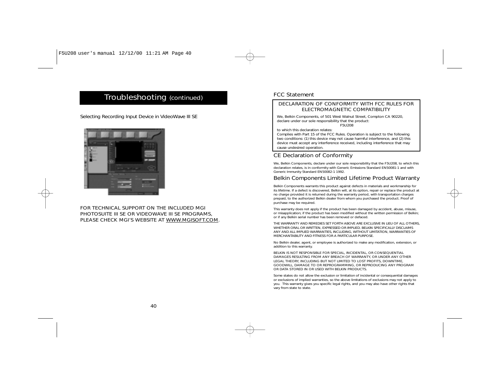### Troubleshooting (continued)

Selecting Recording Input Device in VideoWave III SE



#### FOR TECHNICAL SUPPORT ON THE INCLUDED MGI PHOTOSUITE III SE OR VIDEOWAVE III SE PROGRAMS, PLEASE CHECK MGI'S WEBSITE AT WWW.MGISOFT.COM.

#### FCC Statement

#### DECLARATION OF CONFORMITY WITH FCC RULES FOR ELECTROMAGNETIC COMPATIBILITY

We, Belkin Components, of 501 West Walnut Street, Compton CA 90220, declare under our sole responsibility that the product:

F5U208

to which this declaration relates:

Complies with Part 15 of the FCC Rules. Operation is subject to the following two conditions: (1) this device may not cause harmful interference, and (2) this device must accept any interference received, including interference that may cause undesired operation.

#### CE Declaration of Conformity

We. Belkin Components, declare under our sole responsibility that the F5U208, to which this declaration relates, is in conformity with Generic Emissions Standard EN50081-1 and with Generic Immunity Standard EN50082-1 1992.

#### Belkin Components Limited Lifetime Product Warranty

Belkin Components warrants this product against defects in materials and workmanship for its lifetime. If a defect is discovered, Belkin will, at its option, repair or replace the product at no charge provided it is returned during the warranty period, with transportation charges prepaid, to the authorized Belkin dealer from whom you purchased the product. Proof of purchase may be required.

This warranty does not apply if the product has been damaged by accident, abuse, misuse, or misapplication; if the product has been modified without the written permission of Belkin; or if any Belkin serial number has been removed or defaced.

THE WARRANTY AND REMEDIES SET FORTH ABOVE ARE EXCLUSIVE IN LIEU OF ALL OTHERS, WHETHER ORAL OR WRITTEN, EXPRESSED OR IMPLIED. BELKIN SPECIFICALLY DISCLAIMS ANY AND ALL IMPLIED WARRANTIES, INCLUDING, WITHOUT LIMITATION, WARRANTIES OF MERCHANTABILITY AND FITNESS FOR A PARTICULAR PURPOSE.

No Belkin dealer, agent, or employee is authorized to make any modification, extension, or addition to this warranty.

BELKIN IS NOT RESPONSIBLE FOR SPECIAL, INCIDENTAL, OR CONSEQUENTIAL DAMAGES RESULTING FROM ANY BREACH OF WARRANTY, OR UNDER ANY OTHER LEGAL THEORY, INCLUDING BUT NOT LIMITED TO LOST PROFITS, DOWNTIME, GOODWILL, DAMAGE TO OR REPROGRAMMING, OR REPRODUCING ANY PROGRAM OR DATA STORED IN OR USED WITH BELKIN PRODUCTS.

Some states do not allow the exclusion or limitation of incidental or consequential damages or exclusions of implied warranties, so the above limitations of exclusions may not apply to you. This warranty gives you specific legal rights, and you may also have other rights that vary from state to state.